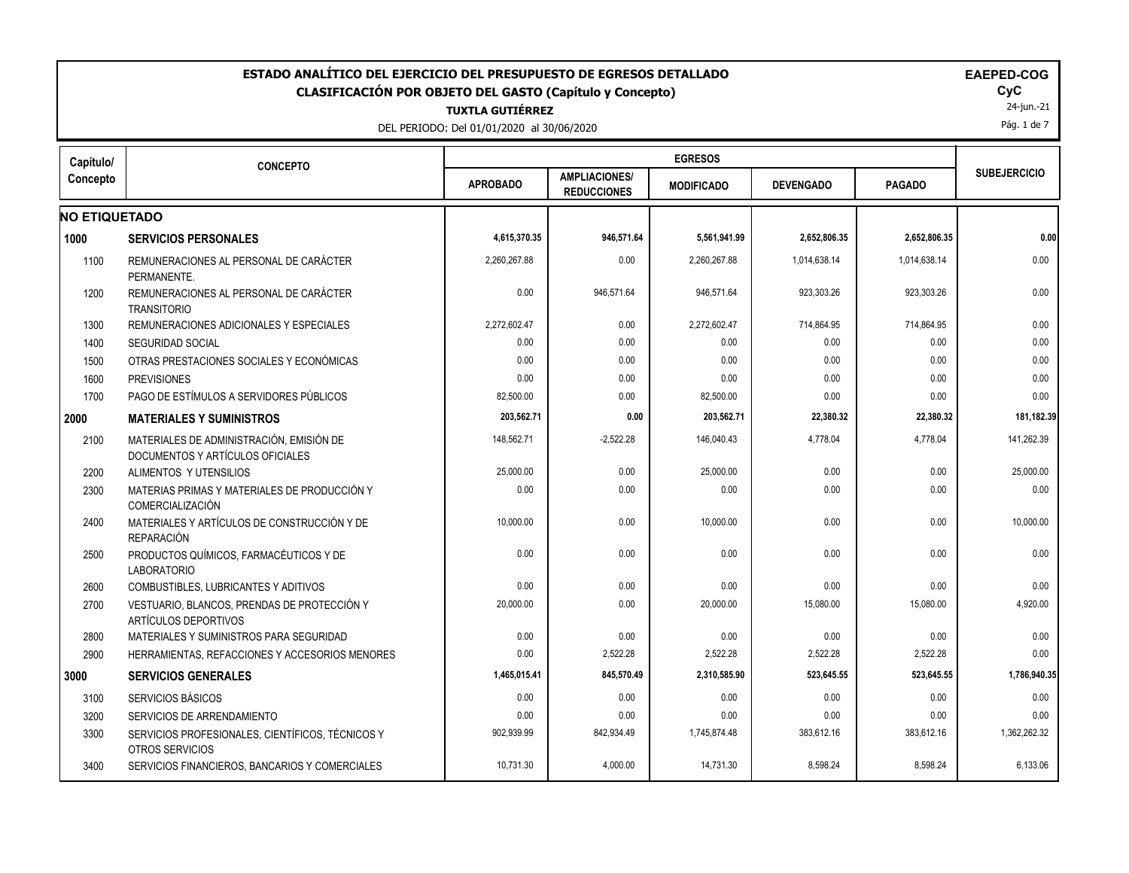| ESTADO ANALÍTICO DEL EJERCICIO DEL PRESUPUESTO DE EGRESOS DETALLADO<br><b>EAEPED-COG</b><br><b>CLASIFICACIÓN POR OBJETO DEL GASTO (Capítulo y Concepto)</b><br><b>TUXTLA GUTIÉRREZ</b><br>DEL PERIODO: Del 01/01/2020 al 30/06/2020 |                                                                              |                 |                                            |                   |                  |               |                     |  |
|-------------------------------------------------------------------------------------------------------------------------------------------------------------------------------------------------------------------------------------|------------------------------------------------------------------------------|-----------------|--------------------------------------------|-------------------|------------------|---------------|---------------------|--|
| Capítulo/                                                                                                                                                                                                                           | <b>CONCEPTO</b>                                                              |                 |                                            | <b>EGRESOS</b>    |                  |               |                     |  |
| Concepto                                                                                                                                                                                                                            |                                                                              | <b>APROBADO</b> | <b>AMPLIACIONES/</b><br><b>REDUCCIONES</b> | <b>MODIFICADO</b> | <b>DEVENGADO</b> | <b>PAGADO</b> | <b>SUBEJERCICIO</b> |  |
| <b>NO ETIQUETADO</b>                                                                                                                                                                                                                |                                                                              |                 |                                            |                   |                  |               |                     |  |
| 1000                                                                                                                                                                                                                                | <b>SERVICIOS PERSONALES</b>                                                  | 4,615,370.35    | 946,571.64                                 | 5,561,941.99      | 2,652,806.35     | 2,652,806.35  | 0.00                |  |
| 1100                                                                                                                                                                                                                                | REMUNERACIONES AL PERSONAL DE CARÁCTER<br>PERMANENTE.                        | 2.260.267.88    | 0.00                                       | 2.260.267.88      | 1.014.638.14     | 1.014.638.14  | 0.00                |  |
| 1200                                                                                                                                                                                                                                | REMUNERACIONES AL PERSONAL DE CARÁCTER<br><b>TRANSITORIO</b>                 | 0.00            | 946,571.64                                 | 946,571.64        | 923,303.26       | 923,303.26    | 0.00                |  |
| 1300                                                                                                                                                                                                                                | REMUNERACIONES ADICIONALES Y ESPECIALES                                      | 2,272,602.47    | 0.00                                       | 2,272,602.47      | 714,864.95       | 714,864.95    | 0.00                |  |
| 1400                                                                                                                                                                                                                                | <b>SEGURIDAD SOCIAL</b>                                                      | 0.00            | 0.00                                       | 0.00              | 0.00             | 0.00          | 0.00                |  |
| 1500                                                                                                                                                                                                                                | OTRAS PRESTACIONES SOCIALES Y ECONÓMICAS                                     | 0.00            | 0.00                                       | 0.00              | 0.00             | 0.00          | 0.00                |  |
| 1600                                                                                                                                                                                                                                | <b>PREVISIONES</b>                                                           | 0.00            | 0.00                                       | 0.00              | 0.00             | 0.00          | 0.00                |  |
| 1700                                                                                                                                                                                                                                | PAGO DE ESTÍMULOS A SERVIDORES PÚBLICOS                                      | 82,500.00       | 0.00                                       | 82,500.00         | 0.00             | 0.00          | 0.00                |  |
| 2000                                                                                                                                                                                                                                | <b>MATERIALES Y SUMINISTROS</b>                                              | 203,562.71      | 0.00                                       | 203,562.71        | 22,380.32        | 22,380.32     | 181,182.39          |  |
| 2100                                                                                                                                                                                                                                | MATERIALES DE ADMINISTRACIÓN, EMISIÓN DE<br>DOCUMENTOS Y ARTÍCULOS OFICIALES | 148.562.71      | $-2.522.28$                                | 146.040.43        | 4,778.04         | 4.778.04      | 141.262.39          |  |
| 2200                                                                                                                                                                                                                                | ALIMENTOS Y UTENSILIOS                                                       | 25,000.00       | 0.00                                       | 25,000.00         | 0.00             | 0.00          | 25,000.00           |  |
| 2300                                                                                                                                                                                                                                | MATERIAS PRIMAS Y MATERIALES DE PRODUCCIÓN Y<br>COMERCIALIZACIÓN             | 0.00            | 0.00                                       | 0.00              | 0.00             | 0.00          | 0.00                |  |
| 2400                                                                                                                                                                                                                                | MATERIALES Y ARTÍCULOS DE CONSTRUCCIÓN Y DE<br><b>REPARACIÓN</b>             | 10,000.00       | 0.00                                       | 10,000.00         | 0.00             | 0.00          | 10,000.00           |  |
| 2500                                                                                                                                                                                                                                | PRODUCTOS QUÍMICOS, FARMACÉUTICOS Y DE<br><b>LABORATORIO</b>                 | 0.00            | 0.00                                       | 0.00              | 0.00             | 0.00          | 0.00                |  |
| 2600                                                                                                                                                                                                                                | COMBUSTIBLES, LUBRICANTES Y ADITIVOS                                         | 0.00            | 0.00                                       | 0.00              | 0.00             | 0.00          | 0.00                |  |
| 2700                                                                                                                                                                                                                                | VESTUARIO, BLANCOS, PRENDAS DE PROTECCIÓN Y<br>ARTÍCULOS DEPORTIVOS          | 20,000.00       | 0.00                                       | 20,000.00         | 15,080.00        | 15,080.00     | 4,920.00            |  |
| 2800                                                                                                                                                                                                                                | MATERIALES Y SUMINISTROS PARA SEGURIDAD                                      | 0.00            | 0.00                                       | 0.00              | 0.00             | 0.00          | 0.00                |  |
| 2900                                                                                                                                                                                                                                | HERRAMIENTAS, REFACCIONES Y ACCESORIOS MENORES                               | 0.00            | 2,522.28                                   | 2,522.28          | 2,522.28         | 2,522.28      | 0.00                |  |
| 3000                                                                                                                                                                                                                                | <b>SERVICIOS GENERALES</b>                                                   | 1,465,015.41    | 845,570.49                                 | 2,310,585.90      | 523,645.55       | 523,645.55    | 1,786,940.35        |  |
| 3100                                                                                                                                                                                                                                | SERVICIOS BÁSICOS                                                            | 0.00            | 0.00                                       | 0.00              | 0.00             | 0.00          | 0.00                |  |
| 3200                                                                                                                                                                                                                                | SERVICIOS DE ARRENDAMIENTO                                                   | 0.00            | 0.00                                       | 0.00              | 0.00             | 0.00          | 0.00                |  |
| 3300                                                                                                                                                                                                                                | SERVICIOS PROFESIONALES, CIENTÍFICOS, TÉCNICOS Y<br>OTROS SERVICIOS          | 902,939.99      | 842,934.49                                 | 1,745,874.48      | 383,612.16       | 383,612.16    | 1,362,262.32        |  |
| 3400                                                                                                                                                                                                                                | SERVICIOS FINANCIEROS, BANCARIOS Y COMERCIALES                               | 10,731.30       | 4,000.00                                   | 14,731.30         | 8,598.24         | 8,598.24      | 6,133.06            |  |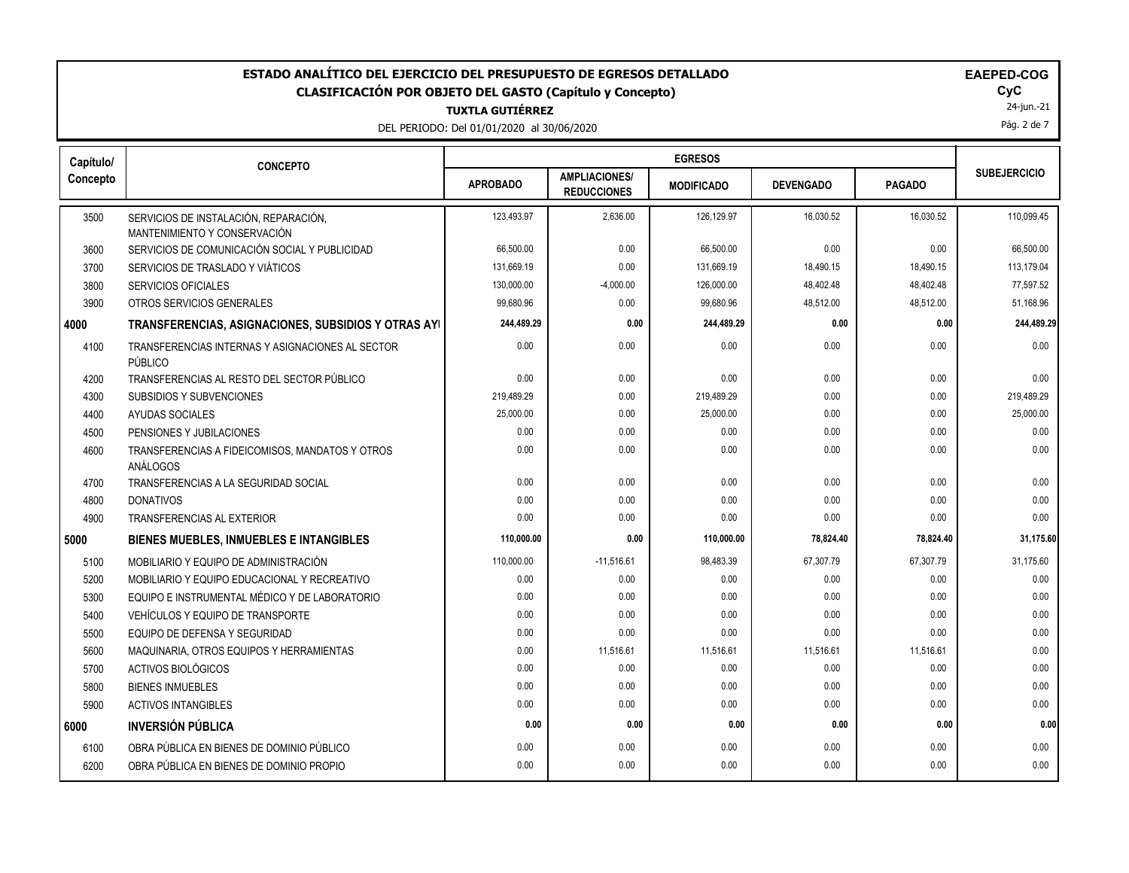### **TUXTLA GUTIÉRREZ ESTADO ANALÍTICO DEL EJERCICIO DEL PRESUPUESTO DE EGRESOS DETALLADO EAEPED-COG CLASIFICACIÓN POR OBJETO DEL GASTO (Capítulo y Concepto) CyC**

DEL PERIODO: Del 01/01/2020 al 30/06/2020

24-jun.-21

Pág. 2 de 7

| Capítulo/ | <b>CONCEPTO</b>                                                       |                 |                                            | <b>EGRESOS</b>    |                  |               |                     |
|-----------|-----------------------------------------------------------------------|-----------------|--------------------------------------------|-------------------|------------------|---------------|---------------------|
| Concepto  |                                                                       | <b>APROBADO</b> | <b>AMPLIACIONES/</b><br><b>REDUCCIONES</b> | <b>MODIFICADO</b> | <b>DEVENGADO</b> | <b>PAGADO</b> | <b>SUBEJERCICIO</b> |
| 3500      | SERVICIOS DE INSTALACIÓN, REPARACIÓN.<br>MANTENIMIENTO Y CONSERVACIÓN | 123,493.97      | 2,636.00                                   | 126,129.97        | 16,030.52        | 16,030.52     | 110,099.45          |
| 3600      | SERVICIOS DE COMUNICACIÓN SOCIAL Y PUBLICIDAD                         | 66,500.00       | 0.00                                       | 66,500.00         | 0.00             | 0.00          | 66,500.00           |
| 3700      | SERVICIOS DE TRASLADO Y VIÁTICOS                                      | 131.669.19      | 0.00                                       | 131,669.19        | 18,490.15        | 18,490.15     | 113,179.04          |
| 3800      | <b>SERVICIOS OFICIALES</b>                                            | 130,000.00      | $-4,000.00$                                | 126,000.00        | 48,402.48        | 48,402.48     | 77,597.52           |
| 3900      | OTROS SERVICIOS GENERALES                                             | 99.680.96       | 0.00                                       | 99.680.96         | 48,512.00        | 48.512.00     | 51,168.96           |
| 4000      | TRANSFERENCIAS, ASIGNACIONES, SUBSIDIOS Y OTRAS AYI                   | 244,489.29      | 0.00                                       | 244,489.29        | 0.00             | 0.00          | 244,489.29          |
| 4100      | TRANSFERENCIAS INTERNAS Y ASIGNACIONES AL SECTOR<br>PÚBLICO           | 0.00            | 0.00                                       | 0.00              | 0.00             | 0.00          | 0.00                |
| 4200      | TRANSFERENCIAS AL RESTO DEL SECTOR PÚBLICO                            | 0.00            | 0.00                                       | 0.00              | 0.00             | 0.00          | 0.00                |
| 4300      | <b>SUBSIDIOS Y SUBVENCIONES</b>                                       | 219,489.29      | 0.00                                       | 219,489.29        | 0.00             | 0.00          | 219,489.29          |
| 4400      | <b>AYUDAS SOCIALES</b>                                                | 25,000.00       | 0.00                                       | 25,000.00         | 0.00             | 0.00          | 25,000.00           |
| 4500      | PENSIONES Y JUBILACIONES                                              | 0.00            | 0.00                                       | 0.00              | 0.00             | 0.00          | 0.00                |
| 4600      | TRANSFERENCIAS A FIDEICOMISOS, MANDATOS Y OTROS<br>ANÁLOGOS           | 0.00            | 0.00                                       | 0.00              | 0.00             | 0.00          | 0.00                |
| 4700      | TRANSFERENCIAS A LA SEGURIDAD SOCIAL                                  | 0.00            | 0.00                                       | 0.00              | 0.00             | 0.00          | 0.00                |
| 4800      | <b>DONATIVOS</b>                                                      | 0.00            | 0.00                                       | 0.00              | 0.00             | 0.00          | 0.00                |
| 4900      | TRANSFERENCIAS AL EXTERIOR                                            | 0.00            | 0.00                                       | 0.00              | 0.00             | 0.00          | 0.00                |
| 5000      | <b>BIENES MUEBLES, INMUEBLES E INTANGIBLES</b>                        | 110,000.00      | 0.00                                       | 110.000.00        | 78,824.40        | 78,824.40     | 31,175.60           |
| 5100      | MOBILIARIO Y EQUIPO DE ADMINISTRACIÓN                                 | 110,000.00      | $-11,516.61$                               | 98,483.39         | 67,307.79        | 67,307.79     | 31,175.60           |
| 5200      | MOBILIARIO Y EQUIPO EDUCACIONAL Y RECREATIVO                          | 0.00            | 0.00                                       | 0.00              | 0.00             | 0.00          | 0.00                |
| 5300      | EQUIPO E INSTRUMENTAL MÉDICO Y DE LABORATORIO                         | 0.00            | 0.00                                       | 0.00              | 0.00             | 0.00          | 0.00                |
| 5400      | VEHÍCULOS Y EQUIPO DE TRANSPORTE                                      | 0.00            | 0.00                                       | 0.00              | 0.00             | 0.00          | 0.00                |
| 5500      | EQUIPO DE DEFENSA Y SEGURIDAD                                         | 0.00            | 0.00                                       | 0.00              | 0.00             | 0.00          | 0.00                |
| 5600      | MAQUINARIA, OTROS EQUIPOS Y HERRAMIENTAS                              | 0.00            | 11,516.61                                  | 11,516.61         | 11,516.61        | 11,516.61     | 0.00                |
| 5700      | ACTIVOS BIOLÓGICOS                                                    | 0.00            | 0.00                                       | 0.00              | 0.00             | 0.00          | 0.00                |
| 5800      | <b>BIENES INMUEBLES</b>                                               | 0.00            | 0.00                                       | 0.00              | 0.00             | 0.00          | 0.00                |
| 5900      | <b>ACTIVOS INTANGIBLES</b>                                            | 0.00            | 0.00                                       | 0.00              | 0.00             | 0.00          | 0.00                |
| 6000      | <b>INVERSIÓN PÚBLICA</b>                                              | 0.00            | 0.00                                       | 0.00              | 0.00             | 0.00          | 0.00                |
| 6100      | OBRA PÚBLICA EN BIENES DE DOMINIO PÚBLICO                             | 0.00            | 0.00                                       | 0.00              | 0.00             | 0.00          | 0.00                |
| 6200      | OBRA PÚBLICA EN BIENES DE DOMINIO PROPIO                              | 0.00            | 0.00                                       | 0.00              | 0.00             | 0.00          | 0.00                |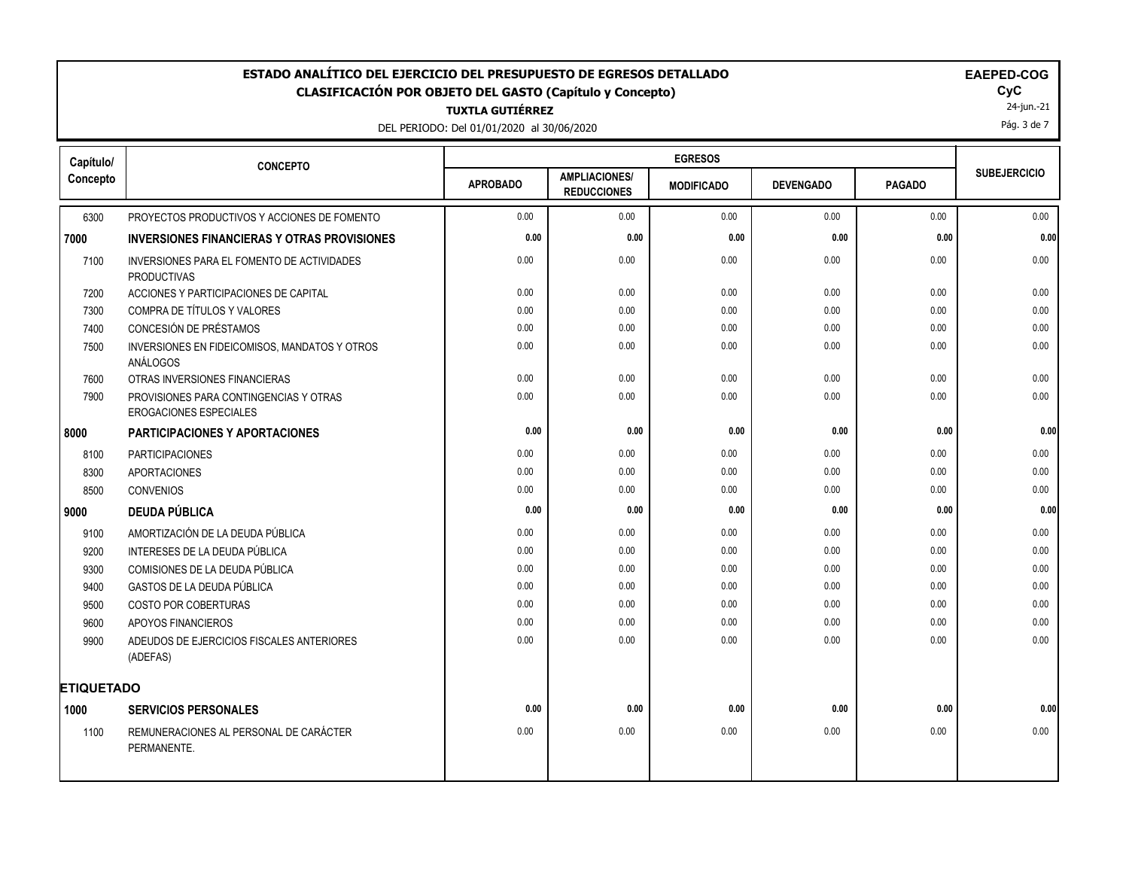# ESTADO ANALÍTICO DEL EJERCICIO DEL PRESUPUESTO DE EGRESOS DETALLADO<br>CLASIFICACIÓN POR OBJETO DEL GASTO (Capítulo y Concepto) **EXACTES DE ACASIFICACIÓN POR OBJETO DEL GASTO** (Capítulo y Concepto) **CLASIFICACIÓN POR OBJETO DEL GASTO (Capítulo y Concepto) CyC**

**TUXTLA GUTIÉRREZ**

DEL PERIODO: Del 01/01/2020 al 30/06/2020

| <b>EAEPED-COG</b> |  |  |  |  |
|-------------------|--|--|--|--|
|                   |  |  |  |  |

24-jun.-21

Pág. 3 de 7

| Capítulo/         | <b>CONCEPTO</b>                                                         |                 |                                            | <b>EGRESOS</b>    |                  |               |                     |
|-------------------|-------------------------------------------------------------------------|-----------------|--------------------------------------------|-------------------|------------------|---------------|---------------------|
| Concepto          |                                                                         | <b>APROBADO</b> | <b>AMPLIACIONES/</b><br><b>REDUCCIONES</b> | <b>MODIFICADO</b> | <b>DEVENGADO</b> | <b>PAGADO</b> | <b>SUBEJERCICIO</b> |
| 6300              | PROYECTOS PRODUCTIVOS Y ACCIONES DE FOMENTO                             | 0.00            | 0.00                                       | 0.00              | 0.00             | 0.00          | 0.00                |
| 7000              | <b>INVERSIONES FINANCIERAS Y OTRAS PROVISIONES</b>                      | 0.00            | 0.00                                       | 0.00              | 0.00             | 0.00          | 0.00                |
| 7100              | INVERSIONES PARA EL FOMENTO DE ACTIVIDADES<br><b>PRODUCTIVAS</b>        | 0.00            | 0.00                                       | 0.00              | 0.00             | 0.00          | 0.00                |
| 7200              | ACCIONES Y PARTICIPACIONES DE CAPITAL                                   | 0.00            | 0.00                                       | 0.00              | 0.00             | 0.00          | 0.00                |
| 7300              | COMPRA DE TÍTULOS Y VALORES                                             | 0.00            | 0.00                                       | 0.00              | 0.00             | 0.00          | 0.00                |
| 7400              | CONCESIÓN DE PRÉSTAMOS                                                  | 0.00            | 0.00                                       | 0.00              | 0.00             | 0.00          | 0.00                |
| 7500              | INVERSIONES EN FIDEICOMISOS, MANDATOS Y OTROS<br>ANÁLOGOS               | 0.00            | 0.00                                       | 0.00              | 0.00             | 0.00          | 0.00                |
| 7600              | OTRAS INVERSIONES FINANCIERAS                                           | 0.00            | 0.00                                       | 0.00              | 0.00             | 0.00          | 0.00                |
| 7900              | PROVISIONES PARA CONTINGENCIAS Y OTRAS<br><b>EROGACIONES ESPECIALES</b> | 0.00            | 0.00                                       | 0.00              | 0.00             | 0.00          | 0.00                |
| 8000              | <b>PARTICIPACIONES Y APORTACIONES</b>                                   | 0.00            | 0.00                                       | 0.00              | 0.00             | 0.00          | 0.00                |
| 8100              | <b>PARTICIPACIONES</b>                                                  | 0.00            | 0.00                                       | 0.00              | 0.00             | 0.00          | 0.00                |
| 8300              | <b>APORTACIONES</b>                                                     | 0.00            | 0.00                                       | 0.00              | 0.00             | 0.00          | 0.00                |
| 8500              | <b>CONVENIOS</b>                                                        | 0.00            | 0.00                                       | 0.00              | 0.00             | 0.00          | 0.00                |
| 9000              | <b>DEUDA PÚBLICA</b>                                                    | 0.00            | 0.00                                       | 0.00              | 0.00             | 0.00          | 0.00                |
| 9100              | AMORTIZACIÓN DE LA DEUDA PÚBLICA                                        | 0.00            | 0.00                                       | 0.00              | 0.00             | 0.00          | 0.00                |
| 9200              | INTERESES DE LA DEUDA PÚBLICA                                           | 0.00            | 0.00                                       | 0.00              | 0.00             | 0.00          | 0.00                |
| 9300              | COMISIONES DE LA DEUDA PÚBLICA                                          | 0.00            | 0.00                                       | 0.00              | 0.00             | 0.00          | 0.00                |
| 9400              | GASTOS DE LA DEUDA PÚBLICA                                              | 0.00            | 0.00                                       | 0.00              | 0.00             | 0.00          | 0.00                |
| 9500              | COSTO POR COBERTURAS                                                    | 0.00            | 0.00                                       | 0.00              | 0.00             | 0.00          | 0.00                |
| 9600              | APOYOS FINANCIEROS                                                      | 0.00            | 0.00                                       | 0.00              | 0.00             | 0.00          | 0.00                |
| 9900              | ADEUDOS DE EJERCICIOS FISCALES ANTERIORES<br>(ADEFAS)                   | 0.00            | 0.00                                       | 0.00              | 0.00             | 0.00          | 0.00                |
| <b>ETIQUETADO</b> |                                                                         |                 |                                            |                   |                  |               |                     |
| 1000              | <b>SERVICIOS PERSONALES</b>                                             | 0.00            | 0.00                                       | 0.00              | 0.00             | 0.00          | 0.00                |
| 1100              | REMUNERACIONES AL PERSONAL DE CARÁCTER<br>PERMANENTE.                   | 0.00            | 0.00                                       | 0.00              | 0.00             | 0.00          | 0.00                |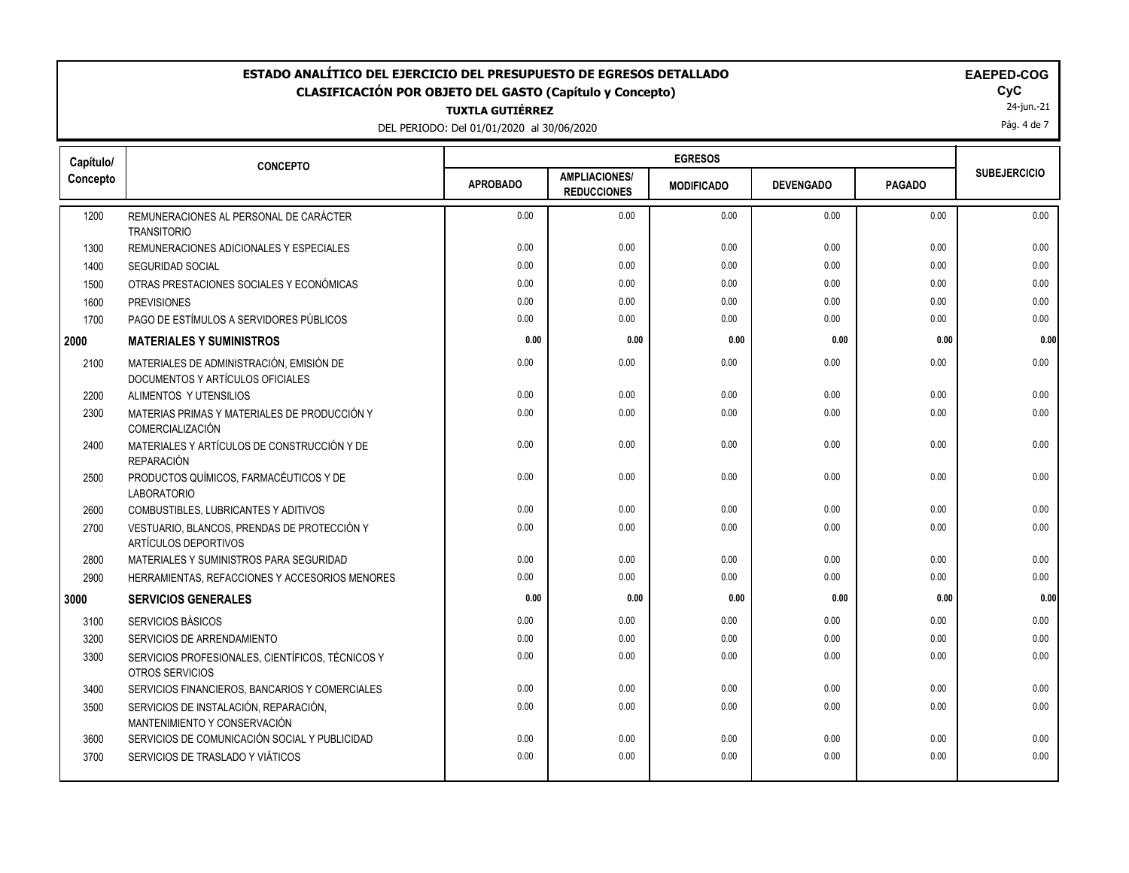## **ESTADO ANALÍTICO DEL EJERCICIO DEL PRESUPUESTO DE EGRESOS DETALLADO EAEPED-COG CLASIFICACIÓN POR OBJETO DEL GASTO (Capítulo y Concepto) CyC**

**TUXTLA GUTIÉRREZ**

DEL PERIODO: Del 01/01/2020 al 30/06/2020

| <b>EAEPED-COO</b> |  |
|-------------------|--|
|-------------------|--|

24-jun.-21

Pág. 4 de 7

| Capítulo/ | <b>CONCEPTO</b>                                                              |                 |                                            | <b>EGRESOS</b>    |                  |               |                     |
|-----------|------------------------------------------------------------------------------|-----------------|--------------------------------------------|-------------------|------------------|---------------|---------------------|
| Concepto  |                                                                              | <b>APROBADO</b> | <b>AMPLIACIONES/</b><br><b>REDUCCIONES</b> | <b>MODIFICADO</b> | <b>DEVENGADO</b> | <b>PAGADO</b> | <b>SUBEJERCICIO</b> |
| 1200      | REMUNERACIONES AL PERSONAL DE CARÁCTER<br><b>TRANSITORIO</b>                 | 0.00            | 0.00                                       | 0.00              | 0.00             | 0.00          | 0.00                |
| 1300      | REMUNERACIONES ADICIONALES Y ESPECIALES                                      | 0.00            | 0.00                                       | 0.00              | 0.00             | 0.00          | 0.00                |
| 1400      | <b>SEGURIDAD SOCIAL</b>                                                      | 0.00            | 0.00                                       | 0.00              | 0.00             | 0.00          | 0.00                |
| 1500      | OTRAS PRESTACIONES SOCIALES Y ECONÓMICAS                                     | 0.00            | 0.00                                       | 0.00              | 0.00             | 0.00          | 0.00                |
| 1600      | <b>PREVISIONES</b>                                                           | 0.00            | 0.00                                       | 0.00              | 0.00             | 0.00          | 0.00                |
| 1700      | PAGO DE ESTÍMULOS A SERVIDORES PÚBLICOS                                      | 0.00            | 0.00                                       | 0.00              | 0.00             | 0.00          | 0.00                |
| 2000      | <b>MATERIALES Y SUMINISTROS</b>                                              | 0.00            | 0.00                                       | 0.00              | 0.00             | 0.00          | 0.00                |
| 2100      | MATERIALES DE ADMINISTRACIÓN, EMISIÓN DE<br>DOCUMENTOS Y ARTÍCULOS OFICIALES | 0.00            | 0.00                                       | 0.00              | 0.00             | 0.00          | 0.00                |
| 2200      | ALIMENTOS Y UTENSILIOS                                                       | 0.00            | 0.00                                       | 0.00              | 0.00             | 0.00          | 0.00                |
| 2300      | MATERIAS PRIMAS Y MATERIALES DE PRODUCCIÓN Y<br>COMERCIALIZACIÓN             | 0.00            | 0.00                                       | 0.00              | 0.00             | 0.00          | 0.00                |
| 2400      | MATERIALES Y ARTÍCULOS DE CONSTRUCCIÓN Y DE<br><b>REPARACIÓN</b>             | 0.00            | 0.00                                       | 0.00              | 0.00             | 0.00          | 0.00                |
| 2500      | PRODUCTOS QUÍMICOS, FARMACÉUTICOS Y DE<br><b>LABORATORIO</b>                 | 0.00            | 0.00                                       | 0.00              | 0.00             | 0.00          | 0.00                |
| 2600      | COMBUSTIBLES, LUBRICANTES Y ADITIVOS                                         | 0.00            | 0.00                                       | 0.00              | 0.00             | 0.00          | 0.00                |
| 2700      | VESTUARIO, BLANCOS, PRENDAS DE PROTECCIÓN Y<br>ARTÍCULOS DEPORTIVOS          | 0.00            | 0.00                                       | 0.00              | 0.00             | 0.00          | 0.00                |
| 2800      | MATERIALES Y SUMINISTROS PARA SEGURIDAD                                      | 0.00            | 0.00                                       | 0.00              | 0.00             | 0.00          | 0.00                |
| 2900      | HERRAMIENTAS, REFACCIONES Y ACCESORIOS MENORES                               | 0.00            | 0.00                                       | 0.00              | 0.00             | 0.00          | 0.00                |
| 3000      | <b>SERVICIOS GENERALES</b>                                                   | 0.00            | 0.00                                       | 0.00              | 0.00             | 0.00          | 0.00                |
| 3100      | SERVICIOS BÁSICOS                                                            | 0.00            | 0.00                                       | 0.00              | 0.00             | 0.00          | 0.00                |
| 3200      | SERVICIOS DE ARRENDAMIENTO                                                   | 0.00            | 0.00                                       | 0.00              | 0.00             | 0.00          | 0.00                |
| 3300      | SERVICIOS PROFESIONALES, CIENTÍFICOS, TÉCNICOS Y<br>OTROS SERVICIOS          | 0.00            | 0.00                                       | 0.00              | 0.00             | 0.00          | 0.00                |
| 3400      | SERVICIOS FINANCIEROS, BANCARIOS Y COMERCIALES                               | 0.00            | 0.00                                       | 0.00              | 0.00             | 0.00          | 0.00                |
| 3500      | SERVICIOS DE INSTALACIÓN, REPARACIÓN,<br>MANTENIMIENTO Y CONSERVACIÓN        | 0.00            | 0.00                                       | 0.00              | 0.00             | 0.00          | 0.00                |
| 3600      | SERVICIOS DE COMUNICACIÓN SOCIAL Y PUBLICIDAD                                | 0.00            | 0.00                                       | 0.00              | 0.00             | 0.00          | 0.00                |
| 3700      | SERVICIOS DE TRASLADO Y VIÁTICOS                                             | 0.00            | 0.00                                       | 0.00              | 0.00             | 0.00          | 0.00                |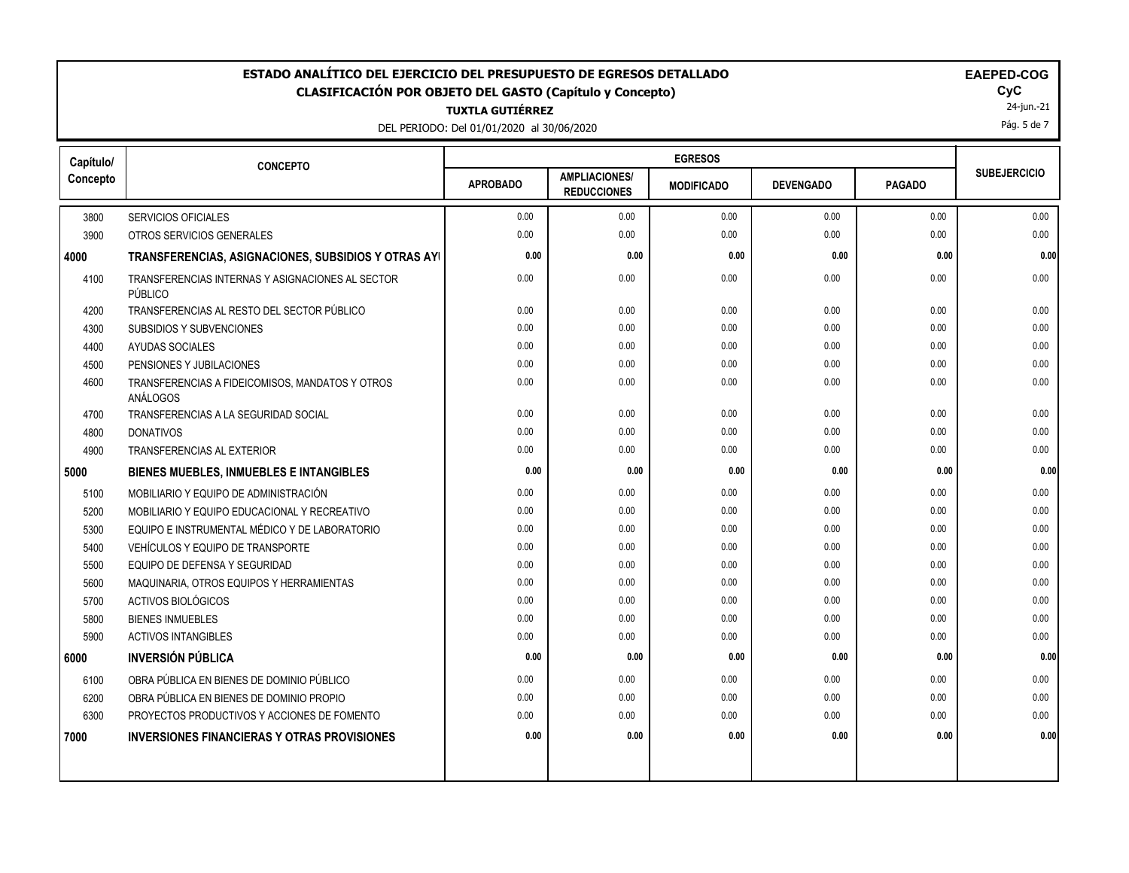### **ESTADO ANALÍTICO DEL EJERCICIO DEL PRESUPUESTO DE EGRESOS DETALLADO EAEPED-COG CLASIFICACIÓN POR OBJETO DEL GASTO (Capítulo y Concepto) CyC**

**TUXTLA GUTIÉRREZ**

DEL PERIODO: Del 01/01/2020 al 30/06/2020

| <b>AEPED-COG</b> |  |
|------------------|--|
|------------------|--|

24-jun.-21

Pág. 5 de 7

| Capítulo/ | <b>CONCEPTO</b>                                             |                 |                                            | <b>EGRESOS</b>    |                  |               |                     |
|-----------|-------------------------------------------------------------|-----------------|--------------------------------------------|-------------------|------------------|---------------|---------------------|
| Concepto  |                                                             | <b>APROBADO</b> | <b>AMPLIACIONES/</b><br><b>REDUCCIONES</b> | <b>MODIFICADO</b> | <b>DEVENGADO</b> | <b>PAGADO</b> | <b>SUBEJERCICIO</b> |
| 3800      | <b>SERVICIOS OFICIALES</b>                                  | 0.00            | 0.00                                       | 0.00              | 0.00             | 0.00          | 0.00                |
| 3900      | OTROS SERVICIOS GENERALES                                   | 0.00            | 0.00                                       | 0.00              | 0.00             | 0.00          | 0.00                |
| 4000      | TRANSFERENCIAS, ASIGNACIONES, SUBSIDIOS Y OTRAS AYI         | 0.00            | 0.00                                       | 0.00              | 0.00             | 0.00          | 0.00                |
| 4100      | TRANSFERENCIAS INTERNAS Y ASIGNACIONES AL SECTOR<br>PÚBLICO | 0.00            | 0.00                                       | 0.00              | 0.00             | 0.00          | 0.00                |
| 4200      | TRANSFERENCIAS AL RESTO DEL SECTOR PÚBLICO                  | 0.00            | 0.00                                       | 0.00              | 0.00             | 0.00          | 0.00                |
| 4300      | SUBSIDIOS Y SUBVENCIONES                                    | 0.00            | 0.00                                       | 0.00              | 0.00             | 0.00          | 0.00                |
| 4400      | AYUDAS SOCIALES                                             | 0.00            | 0.00                                       | 0.00              | 0.00             | 0.00          | 0.00                |
| 4500      | PENSIONES Y JUBILACIONES                                    | 0.00            | 0.00                                       | 0.00              | 0.00             | 0.00          | 0.00                |
| 4600      | TRANSFERENCIAS A FIDEICOMISOS, MANDATOS Y OTROS<br>ANÁLOGOS | 0.00            | 0.00                                       | 0.00              | 0.00             | 0.00          | 0.00                |
| 4700      | TRANSFERENCIAS A LA SEGURIDAD SOCIAL                        | 0.00            | 0.00                                       | 0.00              | 0.00             | 0.00          | 0.00                |
| 4800      | <b>DONATIVOS</b>                                            | 0.00            | 0.00                                       | 0.00              | 0.00             | 0.00          | 0.00                |
| 4900      | <b>TRANSFERENCIAS AL EXTERIOR</b>                           | 0.00            | 0.00                                       | 0.00              | 0.00             | 0.00          | 0.00                |
| 5000      | <b>BIENES MUEBLES, INMUEBLES E INTANGIBLES</b>              | 0.00            | 0.00                                       | 0.00              | 0.00             | 0.00          | 0.00                |
| 5100      | MOBILIARIO Y EQUIPO DE ADMINISTRACIÓN                       | 0.00            | 0.00                                       | 0.00              | 0.00             | 0.00          | 0.00                |
| 5200      | MOBILIARIO Y EQUIPO EDUCACIONAL Y RECREATIVO                | 0.00            | 0.00                                       | 0.00              | 0.00             | 0.00          | 0.00                |
| 5300      | EQUIPO E INSTRUMENTAL MÉDICO Y DE LABORATORIO               | 0.00            | 0.00                                       | 0.00              | 0.00             | 0.00          | 0.00                |
| 5400      | VEHÍCULOS Y EQUIPO DE TRANSPORTE                            | 0.00            | 0.00                                       | 0.00              | 0.00             | 0.00          | 0.00                |
| 5500      | EQUIPO DE DEFENSA Y SEGURIDAD                               | 0.00            | 0.00                                       | 0.00              | 0.00             | 0.00          | 0.00                |
| 5600      | MAQUINARIA, OTROS EQUIPOS Y HERRAMIENTAS                    | 0.00            | 0.00                                       | 0.00              | 0.00             | 0.00          | 0.00                |
| 5700      | ACTIVOS BIOLÓGICOS                                          | 0.00            | 0.00                                       | 0.00              | 0.00             | 0.00          | 0.00                |
| 5800      | <b>BIENES INMUEBLES</b>                                     | 0.00            | 0.00                                       | 0.00              | 0.00             | 0.00          | 0.00                |
| 5900      | <b>ACTIVOS INTANGIBLES</b>                                  | 0.00            | 0.00                                       | 0.00              | 0.00             | 0.00          | 0.00                |
| 6000      | <b>INVERSIÓN PÚBLICA</b>                                    | 0.00            | 0.00                                       | 0.00              | 0.00             | 0.00          | 0.00                |
| 6100      | OBRA PÚBLICA EN BIENES DE DOMINIO PÚBLICO                   | 0.00            | 0.00                                       | 0.00              | 0.00             | 0.00          | 0.00                |
| 6200      | OBRA PÚBLICA EN BIENES DE DOMINIO PROPIO                    | 0.00            | 0.00                                       | 0.00              | 0.00             | 0.00          | 0.00                |
| 6300      | PROYECTOS PRODUCTIVOS Y ACCIONES DE FOMENTO                 | 0.00            | 0.00                                       | 0.00              | 0.00             | 0.00          | 0.00                |
| 7000      | <b>INVERSIONES FINANCIERAS Y OTRAS PROVISIONES</b>          | 0.00            | 0.00                                       | 0.00              | 0.00             | 0.00          | 0.00                |
|           |                                                             |                 |                                            |                   |                  |               |                     |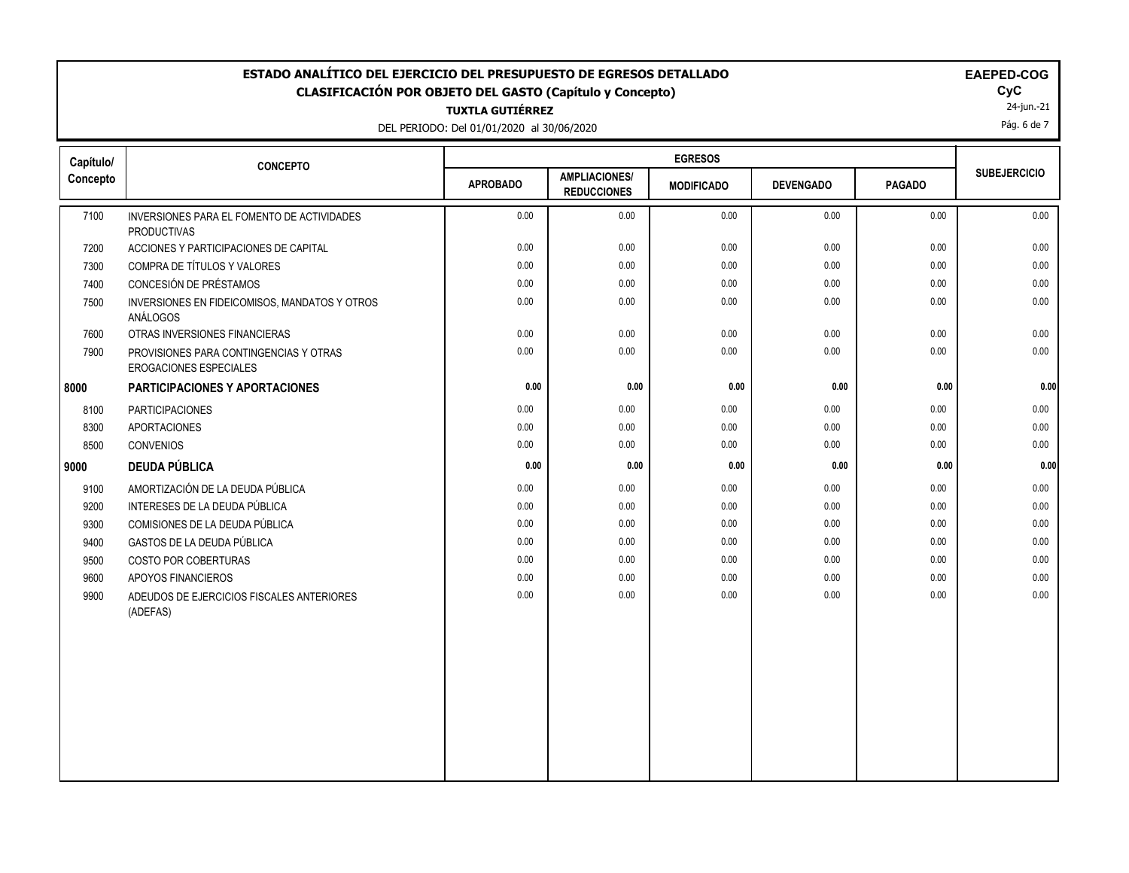## **ESTADO ANALÍTICO DEL EJERCICIO DEL PRESUPUESTO DE EGRESOS DETALLADO EAECOGO EN EXECUCIONADO EM EM CLASIFICACIÓN POR OBJETO DEL GASTO (Capítulo y Concepto) CyC**

**TUXTLA GUTIÉRREZ**

DEL PERIODO: Del 01/01/2020 al 30/06/2020

|  |  |  |  |  |  |  | EAEPED-COG |  |  |
|--|--|--|--|--|--|--|------------|--|--|
|--|--|--|--|--|--|--|------------|--|--|

 $\mathsf{Cyc}$ <br>24-jun.-21

Pág. 6 de 7

| Capítulo/ | <b>CONCEPTO</b>                                                         |                 |                                            | <b>EGRESOS</b>    |                  |               |                     |
|-----------|-------------------------------------------------------------------------|-----------------|--------------------------------------------|-------------------|------------------|---------------|---------------------|
| Concepto  |                                                                         | <b>APROBADO</b> | <b>AMPLIACIONES/</b><br><b>REDUCCIONES</b> | <b>MODIFICADO</b> | <b>DEVENGADO</b> | <b>PAGADO</b> | <b>SUBEJERCICIO</b> |
| 7100      | INVERSIONES PARA EL FOMENTO DE ACTIVIDADES<br><b>PRODUCTIVAS</b>        | 0.00            | 0.00                                       | 0.00              | 0.00             | 0.00          | 0.00                |
| 7200      | ACCIONES Y PARTICIPACIONES DE CAPITAL                                   | 0.00            | 0.00                                       | 0.00              | 0.00             | 0.00          | 0.00                |
| 7300      | COMPRA DE TÍTULOS Y VALORES                                             | 0.00            | 0.00                                       | 0.00              | 0.00             | 0.00          | 0.00                |
| 7400      | CONCESIÓN DE PRÉSTAMOS                                                  | 0.00            | 0.00                                       | 0.00              | 0.00             | 0.00          | 0.00                |
| 7500      | INVERSIONES EN FIDEICOMISOS, MANDATOS Y OTROS<br>ANÁLOGOS               | 0.00            | 0.00                                       | 0.00              | 0.00             | 0.00          | 0.00                |
| 7600      | OTRAS INVERSIONES FINANCIERAS                                           | 0.00            | 0.00                                       | 0.00              | 0.00             | 0.00          | 0.00                |
| 7900      | PROVISIONES PARA CONTINGENCIAS Y OTRAS<br><b>EROGACIONES ESPECIALES</b> | 0.00            | 0.00                                       | 0.00              | 0.00             | 0.00          | 0.00                |
| 8000      | PARTICIPACIONES Y APORTACIONES                                          | 0.00            | 0.00                                       | 0.00              | 0.00             | 0.00          | 0.00                |
| 8100      | <b>PARTICIPACIONES</b>                                                  | 0.00            | 0.00                                       | 0.00              | 0.00             | 0.00          | 0.00                |
| 8300      | <b>APORTACIONES</b>                                                     | 0.00            | 0.00                                       | 0.00              | 0.00             | 0.00          | 0.00                |
| 8500      | <b>CONVENIOS</b>                                                        | 0.00            | 0.00                                       | 0.00              | 0.00             | 0.00          | 0.00                |
| 9000      | <b>DEUDA PÚBLICA</b>                                                    | 0.00            | 0.00                                       | 0.00              | 0.00             | 0.00          | 0.00                |
| 9100      | AMORTIZACIÓN DE LA DEUDA PÚBLICA                                        | 0.00            | 0.00                                       | 0.00              | 0.00             | 0.00          | 0.00                |
| 9200      | INTERESES DE LA DEUDA PÚBLICA                                           | 0.00            | 0.00                                       | 0.00              | 0.00             | 0.00          | 0.00                |
| 9300      | COMISIONES DE LA DEUDA PÚBLICA                                          | 0.00            | 0.00                                       | 0.00              | 0.00             | 0.00          | 0.00                |
| 9400      | GASTOS DE LA DEUDA PÚBLICA                                              | 0.00            | 0.00                                       | 0.00              | 0.00             | 0.00          | 0.00                |
| 9500      | COSTO POR COBERTURAS                                                    | 0.00            | 0.00                                       | 0.00              | 0.00             | 0.00          | 0.00                |
| 9600      | APOYOS FINANCIEROS                                                      | 0.00            | 0.00                                       | 0.00              | 0.00             | 0.00          | 0.00                |
| 9900      | ADEUDOS DE EJERCICIOS FISCALES ANTERIORES<br>(ADEFAS)                   | 0.00            | 0.00                                       | 0.00              | 0.00             | 0.00          | 0.00                |
|           |                                                                         |                 |                                            |                   |                  |               |                     |
|           |                                                                         |                 |                                            |                   |                  |               |                     |
|           |                                                                         |                 |                                            |                   |                  |               |                     |
|           |                                                                         |                 |                                            |                   |                  |               |                     |